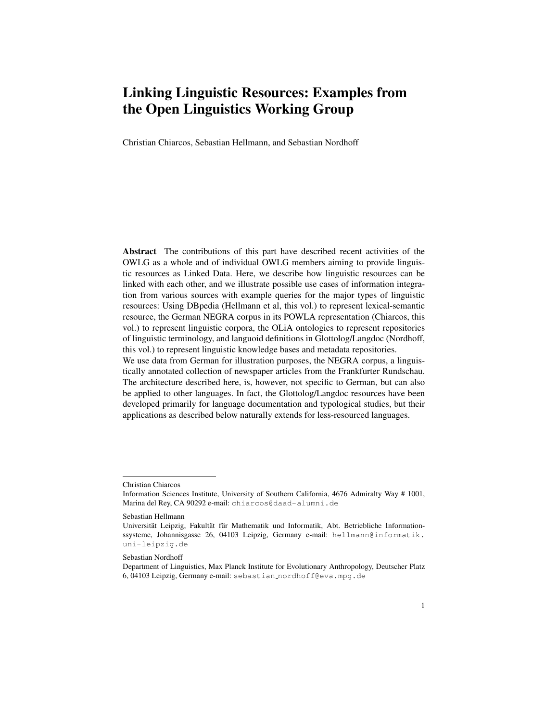# Linking Linguistic Resources: Examples from the Open Linguistics Working Group

Christian Chiarcos, Sebastian Hellmann, and Sebastian Nordhoff

Abstract The contributions of this part have described recent activities of the OWLG as a whole and of individual OWLG members aiming to provide linguistic resources as Linked Data. Here, we describe how linguistic resources can be linked with each other, and we illustrate possible use cases of information integration from various sources with example queries for the major types of linguistic resources: Using DBpedia (Hellmann et al, this vol.) to represent lexical-semantic resource, the German NEGRA corpus in its POWLA representation (Chiarcos, this vol.) to represent linguistic corpora, the OLiA ontologies to represent repositories of linguistic terminology, and languoid definitions in Glottolog/Langdoc (Nordhoff, this vol.) to represent linguistic knowledge bases and metadata repositories. We use data from German for illustration purposes, the NEGRA corpus, a linguistically annotated collection of newspaper articles from the Frankfurter Rundschau. The architecture described here, is, however, not specific to German, but can also be applied to other languages. In fact, the Glottolog/Langdoc resources have been developed primarily for language documentation and typological studies, but their applications as described below naturally extends for less-resourced languages.

Christian Chiarcos

Information Sciences Institute, University of Southern California, 4676 Admiralty Way # 1001, Marina del Rey, CA 90292 e-mail: chiarcos@daad-alumni.de

Sebastian Hellmann

Universität Leipzig, Fakultät für Mathematik und Informatik, Abt. Betriebliche Informationssysteme, Johannisgasse 26, 04103 Leipzig, Germany e-mail: hellmann@informatik. uni-leipzig.de

Sebastian Nordhoff

Department of Linguistics, Max Planck Institute for Evolutionary Anthropology, Deutscher Platz 6, 04103 Leipzig, Germany e-mail: sebastian nordhoff@eva.mpg.de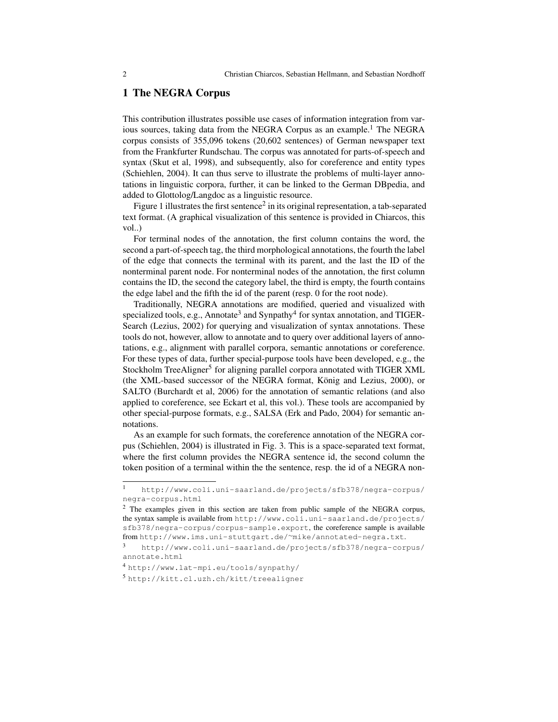#### 1 The NEGRA Corpus

This contribution illustrates possible use cases of information integration from various sources, taking data from the NEGRA Corpus as an example.<sup>1</sup> The NEGRA corpus consists of 355,096 tokens (20,602 sentences) of German newspaper text from the Frankfurter Rundschau. The corpus was annotated for parts-of-speech and syntax (Skut et al, 1998), and subsequently, also for coreference and entity types (Schiehlen, 2004). It can thus serve to illustrate the problems of multi-layer annotations in linguistic corpora, further, it can be linked to the German DBpedia, and added to Glottolog/Langdoc as a linguistic resource.

Figure 1 illustrates the first sentence<sup>2</sup> in its original representation, a tab-separated text format. (A graphical visualization of this sentence is provided in Chiarcos, this vol..)

For terminal nodes of the annotation, the first column contains the word, the second a part-of-speech tag, the third morphological annotations, the fourth the label of the edge that connects the terminal with its parent, and the last the ID of the nonterminal parent node. For nonterminal nodes of the annotation, the first column contains the ID, the second the category label, the third is empty, the fourth contains the edge label and the fifth the id of the parent (resp. 0 for the root node).

Traditionally, NEGRA annotations are modified, queried and visualized with specialized tools, e.g., Annotate<sup>3</sup> and Synpathy<sup>4</sup> for syntax annotation, and TIGER-Search (Lezius, 2002) for querying and visualization of syntax annotations. These tools do not, however, allow to annotate and to query over additional layers of annotations, e.g., alignment with parallel corpora, semantic annotations or coreference. For these types of data, further special-purpose tools have been developed, e.g., the Stockholm TreeAligner<sup>5</sup> for aligning parallel corpora annotated with TIGER XML (the XML-based successor of the NEGRA format, König and Lezius, 2000), or SALTO (Burchardt et al, 2006) for the annotation of semantic relations (and also applied to coreference, see Eckart et al, this vol.). These tools are accompanied by other special-purpose formats, e.g., SALSA (Erk and Pado, 2004) for semantic annotations.

As an example for such formats, the coreference annotation of the NEGRA corpus (Schiehlen, 2004) is illustrated in Fig. 3. This is a space-separated text format, where the first column provides the NEGRA sentence id, the second column the token position of a terminal within the the sentence, resp. the id of a NEGRA non-

<sup>1</sup> http://www.coli.uni-saarland.de/projects/sfb378/negra-corpus/ negra-corpus.html

<sup>&</sup>lt;sup>2</sup> The examples given in this section are taken from public sample of the NEGRA corpus, the syntax sample is available from http://www.coli.uni-saarland.de/projects/ sfb378/negra-corpus/corpus-sample.export, the coreference sample is available from http://www.ims.uni-stuttgart.de/∼mike/annotated-negra.txt.

<sup>3</sup> http://www.coli.uni-saarland.de/projects/sfb378/negra-corpus/ annotate.html

<sup>4</sup> http://www.lat-mpi.eu/tools/synpathy/

<sup>5</sup> http://kitt.cl.uzh.ch/kitt/treealigner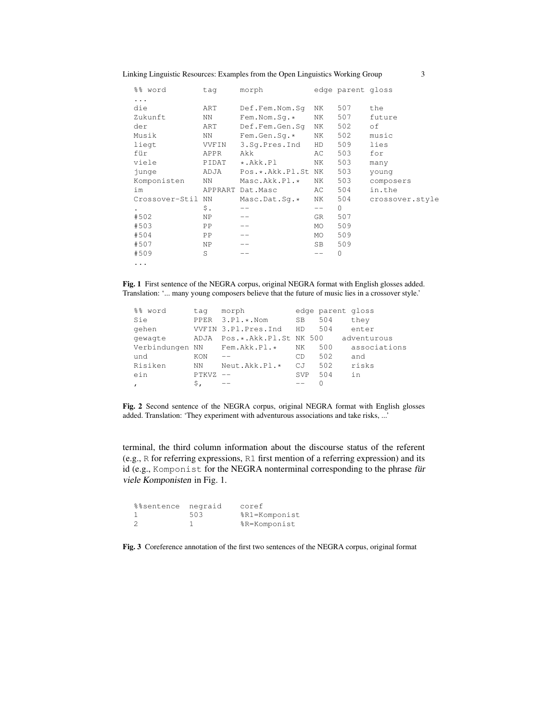Linking Linguistic Resources: Examples from the Open Linguistics Working Group 3

| %% word        | tag   | morph             |     | edge parent gloss |                 |
|----------------|-------|-------------------|-----|-------------------|-----------------|
| .              |       |                   |     |                   |                 |
| die            | ART   | Def.Fem.Nom.Sq    | NΚ  | 507               | the             |
| Zukunft        | ΝN    | Fem.Nom.Sq.*      | ΝK  | 507               | future          |
| der            | ART   | Def.Fem.Gen.Sq    | NΚ  | 502               | οf              |
| Musik          | ΝN    | Fem.Gen.Sq.*      | NΚ  | 502               | music           |
| liegt          | VVFIN | 3.Sq.Pres.Ind     | HD  | 509               | lies            |
| für            | APPR  | Akk               | AС  | 503               | for             |
| viele          | PIDAT | *.Akk.Pl          | NK  | 503               | many            |
| junge          | ADJA  | Pos.*.Akk.Pl.St   | ΝK  | 503               | young           |
| Komponisten    | NΝ    | Masc.Akk.Pl.*     | NK  | 503               | composers       |
| im             |       | APPRART Dat. Masc | AС  | 504               | in.the          |
| Crossover-Stil | NN.   | Masc.Dat.Sq.*     | NK  | 504               | crossover.style |
|                | \$.   |                   | ——  | 0                 |                 |
| #502           | ΝP    | --                | GR  | 507               |                 |
| #503           | PP    | --                | MO. | 509               |                 |
| #504           | PP    | --                | МO  | 509               |                 |
| #507           | NP    | --                | SB  | 509               |                 |
| #509           | S     |                   |     | 0                 |                 |
| $\cdots$       |       |                   |     |                   |                 |

Fig. 1 First sentence of the NEGRA corpus, original NEGRA format with English glosses added. Translation: '... many young composers believe that the future of music lies in a crossover style.'

| %% word      | tag       | morph                                      |            | edge parent gloss |              |
|--------------|-----------|--------------------------------------------|------------|-------------------|--------------|
| Sie          | PPER      | $3.P1.*.$ Nom                              | <b>SB</b>  | 504               | they         |
| gehen        |           | VVFIN 3.Pl.Pres.Ind                        | HD         | 504               | enter        |
| qewaqte      |           | ADJA Pos.*. Akk. Pl. St NK 500 adventurous |            |                   |              |
|              |           | Verbindungen NN Fem.Akk.Pl.*               | NK         | 500               | associations |
| und          | KON       |                                            | CD         | 502               | and          |
| Risiken      | <b>NN</b> | Neut.Akk.Pl.*                              | СJ         | 502               | risks        |
| ein          | PTKVZ     |                                            | <b>SVP</b> | 504               | in           |
| $\mathbf{r}$ | \$,       |                                            |            | O                 |              |

Fig. 2 Second sentence of the NEGRA corpus, original NEGRA format with English glosses added. Translation: 'They experiment with adventurous associations and take risks, ...'

terminal, the third column information about the discourse status of the referent (e.g., R for referring expressions, R1 first mention of a referring expression) and its id (e.g., Komponist for the NEGRA nonterminal corresponding to the phrase für viele Komponisten in Fig. 1.

| %%sentence negraid |     | coref         |
|--------------------|-----|---------------|
|                    | 503 | %R1=Komponist |
|                    |     | %R=Komponist  |

Fig. 3 Coreference annotation of the first two sentences of the NEGRA corpus, original format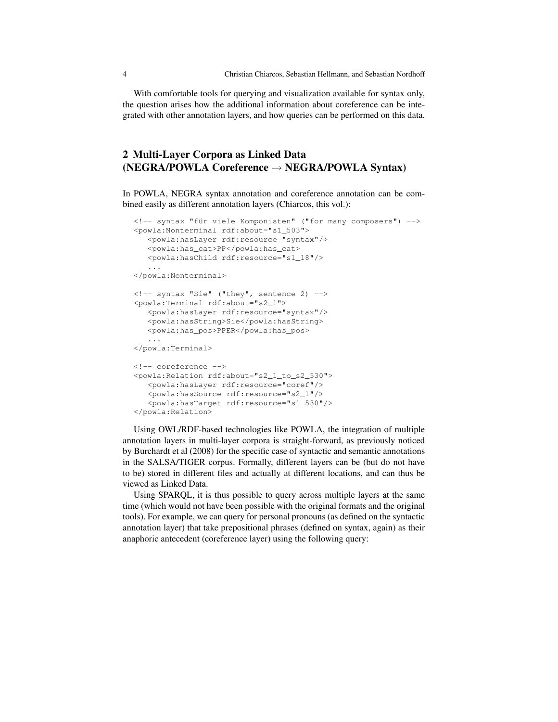With comfortable tools for querying and visualization available for syntax only, the question arises how the additional information about coreference can be integrated with other annotation layers, and how queries can be performed on this data.

### 2 Multi-Layer Corpora as Linked Data  $(NEGRA/POWLA$  Coreference  $\mapsto$  NEGRA/POWLA Syntax)

In POWLA, NEGRA syntax annotation and coreference annotation can be combined easily as different annotation layers (Chiarcos, this vol.):

```
<!-- syntax "für viele Komponisten" ("for many composers") -->
<powla:Nonterminal rdf:about="s1_503">
  <powla:hasLayer rdf:resource="syntax"/>
  <powla:has_cat>PP</powla:has_cat>
  <powla:hasChild rdf:resource="s1_18"/>
   ...
</powla:Nonterminal>
\langle !-- syntax "Sie" ("they", sentence 2) -->
<powla:Terminal rdf:about="s2_1">
  <powla:hasLayer rdf:resource="syntax"/>
  <powla:hasString>Sie</powla:hasString>
  <powla:has_pos>PPER</powla:has_pos>
  ...
</powla:Terminal>
<!-- coreference -->
<powla:Relation rdf:about="s2_1_to_s2_530">
  <powla:hasLayer rdf:resource="coref"/>
  <powla:hasSource rdf:resource="s2_1"/>
  <powla:hasTarget rdf:resource="s1_530"/>
</powla:Relation>
```
Using OWL/RDF-based technologies like POWLA, the integration of multiple annotation layers in multi-layer corpora is straight-forward, as previously noticed by Burchardt et al (2008) for the specific case of syntactic and semantic annotations in the SALSA/TIGER corpus. Formally, different layers can be (but do not have to be) stored in different files and actually at different locations, and can thus be viewed as Linked Data.

Using SPARQL, it is thus possible to query across multiple layers at the same time (which would not have been possible with the original formats and the original tools). For example, we can query for personal pronouns (as defined on the syntactic annotation layer) that take prepositional phrases (defined on syntax, again) as their anaphoric antecedent (coreference layer) using the following query: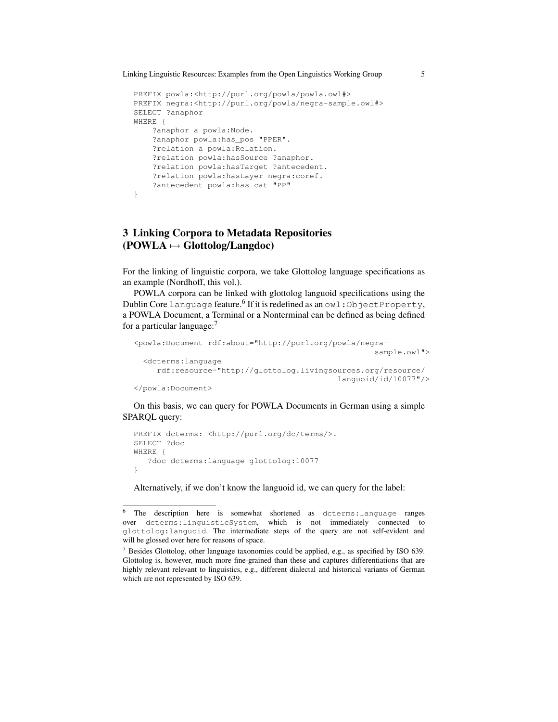Linking Linguistic Resources: Examples from the Open Linguistics Working Group 5

```
PREFIX powla:<http://purl.org/powla/powla.owl#>
PREFIX negra:<http://purl.org/powla/negra-sample.owl#>
SELECT ?anaphor
WHERE {
    ?anaphor a powla:Node.
    ?anaphor powla:has_pos "PPER".
    ?relation a powla:Relation.
    ?relation powla:hasSource ?anaphor.
    ?relation powla:hasTarget ?antecedent.
    ?relation powla:hasLayer negra:coref.
    ?antecedent powla:has_cat "PP"
}
```
### 3 Linking Corpora to Metadata Repositories  $(POWLA \rightarrow Glottolog/Langdoc)$

For the linking of linguistic corpora, we take Glottolog language specifications as an example (Nordhoff, this vol.).

POWLA corpora can be linked with glottolog languoid specifications using the  ${\rm Dublin\,Core}$  language feature. $^6$  If it is redefined as an <code>owl:ObjectProperty,</code> a POWLA Document, a Terminal or a Nonterminal can be defined as being defined for a particular language:<sup>7</sup>

```
<powla:Document rdf:about="http://purl.org/powla/negra-
                                                    sample.owl">
 <dcterms:language
    rdf:resource="http://glottolog.livingsources.org/resource/
                                            languoid/id/10077"/>
</powla:Document>
```
On this basis, we can query for POWLA Documents in German using a simple SPARQL query:

```
PREFIX dcterms: <http://purl.org/dc/terms/>.
SELECT ?doc
WHERE {
   ?doc dcterms:language glottolog:10077
}
```
Alternatively, if we don't know the languoid id, we can query for the label:

<sup>6</sup> The description here is somewhat shortened as dcterms:language ranges over dcterms:linguisticSystem, which is not immediately connected to glottolog:languoid. The intermediate steps of the query are not self-evident and will be glossed over here for reasons of space.

<sup>7</sup> Besides Glottolog, other language taxonomies could be applied, e.g., as specified by ISO 639. Glottolog is, however, much more fine-grained than these and captures differentiations that are highly relevant relevant to linguistics, e.g., different dialectal and historical variants of German which are not represented by ISO 639.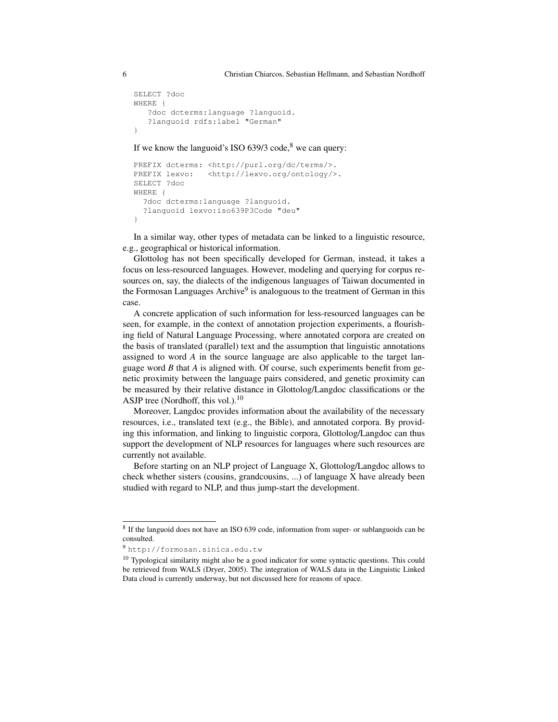```
SELECT ?doc
WHERE {
   ?doc dcterms:language ?languoid.
   ?languoid rdfs:label "German"
}
```
If we know the languoid's ISO 639/3 code, $8$  we can query:

```
PREFIX dcterms: <http://purl.org/dc/terms/>.
PREFIX lexvo: <http://lexvo.org/ontology/>.
SELECT ?doc
WHERE {
  ?doc dcterms:language ?languoid.
  ?languoid lexvo:iso639P3Code "deu"
}
```
In a similar way, other types of metadata can be linked to a linguistic resource, e.g., geographical or historical information.

Glottolog has not been specifically developed for German, instead, it takes a focus on less-resourced languages. However, modeling and querying for corpus resources on, say, the dialects of the indigenous languages of Taiwan documented in the Formosan Languages Archive<sup>9</sup> is analoguous to the treatment of German in this case.

A concrete application of such information for less-resourced languages can be seen, for example, in the context of annotation projection experiments, a flourishing field of Natural Language Processing, where annotated corpora are created on the basis of translated (parallel) text and the assumption that linguistic annotations assigned to word *A* in the source language are also applicable to the target language word *B* that *A* is aligned with. Of course, such experiments benefit from genetic proximity between the language pairs considered, and genetic proximity can be measured by their relative distance in Glottolog/Langdoc classifications or the ASJP tree (Nordhoff, this vol.).<sup>10</sup>

Moreover, Langdoc provides information about the availability of the necessary resources, i.e., translated text (e.g., the Bible), and annotated corpora. By providing this information, and linking to linguistic corpora, Glottolog/Langdoc can thus support the development of NLP resources for languages where such resources are currently not available.

Before starting on an NLP project of Language X, Glottolog/Langdoc allows to check whether sisters (cousins, grandcousins, ...) of language X have already been studied with regard to NLP, and thus jump-start the development.

<sup>&</sup>lt;sup>8</sup> If the languoid does not have an ISO 639 code, information from super- or sublanguoids can be consulted.

<sup>9</sup> http://formosan.sinica.edu.tw

<sup>&</sup>lt;sup>10</sup> Typological similarity might also be a good indicator for some syntactic questions. This could be retrieved from WALS (Dryer, 2005). The integration of WALS data in the Linguistic Linked Data cloud is currently underway, but not discussed here for reasons of space.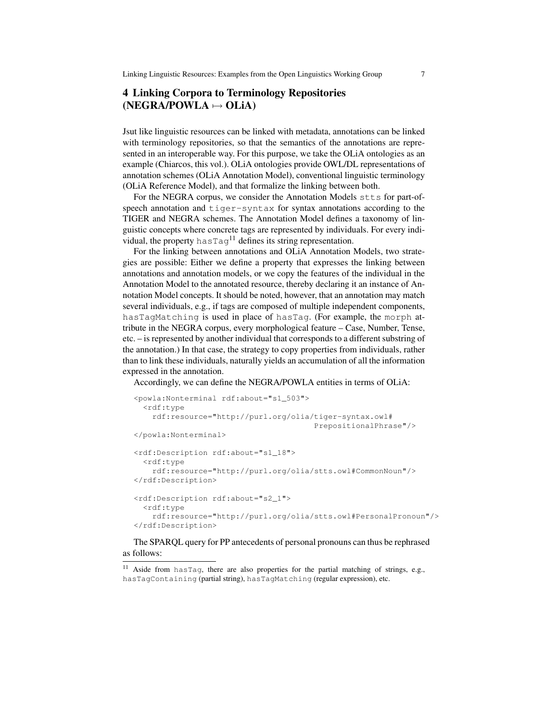# 4 Linking Corpora to Terminology Repositories  $(NEGRA/POWLA \rightarrow OLiA)$

Jsut like linguistic resources can be linked with metadata, annotations can be linked with terminology repositories, so that the semantics of the annotations are represented in an interoperable way. For this purpose, we take the OLiA ontologies as an example (Chiarcos, this vol.). OLiA ontologies provide OWL/DL representations of annotation schemes (OLiA Annotation Model), conventional linguistic terminology (OLiA Reference Model), and that formalize the linking between both.

For the NEGRA corpus, we consider the Annotation Models stts for part-ofspeech annotation and tiger-syntax for syntax annotations according to the TIGER and NEGRA schemes. The Annotation Model defines a taxonomy of linguistic concepts where concrete tags are represented by individuals. For every individual, the property has  $Taq^{11}$  defines its string representation.

For the linking between annotations and OLiA Annotation Models, two strategies are possible: Either we define a property that expresses the linking between annotations and annotation models, or we copy the features of the individual in the Annotation Model to the annotated resource, thereby declaring it an instance of Annotation Model concepts. It should be noted, however, that an annotation may match several individuals, e.g., if tags are composed of multiple independent components, hasTagMatching is used in place of hasTag. (For example, the morph attribute in the NEGRA corpus, every morphological feature – Case, Number, Tense, etc. – is represented by another individual that corresponds to a different substring of the annotation.) In that case, the strategy to copy properties from individuals, rather than to link these individuals, naturally yields an accumulation of all the information expressed in the annotation.

Accordingly, we can define the NEGRA/POWLA entities in terms of OLiA:

```
<powla:Nonterminal rdf:about="s1_503">
 <rdf:type
   rdf:resource="http://purl.org/olia/tiger-syntax.owl#
                                       PrepositionalPhrase"/>
</powla:Nonterminal>
<rdf:Description rdf:about="s1_18">
 <rdf:type
   rdf:resource="http://purl.org/olia/stts.owl#CommonNoun"/>
</rdf:Description>
<rdf:Description rdf:about="s2_1">
 <rdf:type
   rdf:resource="http://purl.org/olia/stts.owl#PersonalPronoun"/>
</rdf:Description>
```
The SPARQL query for PP antecedents of personal pronouns can thus be rephrased as follows:

<sup>11</sup> Aside from hasTag, there are also properties for the partial matching of strings, e.g., hasTagContaining (partial string), hasTagMatching (regular expression), etc.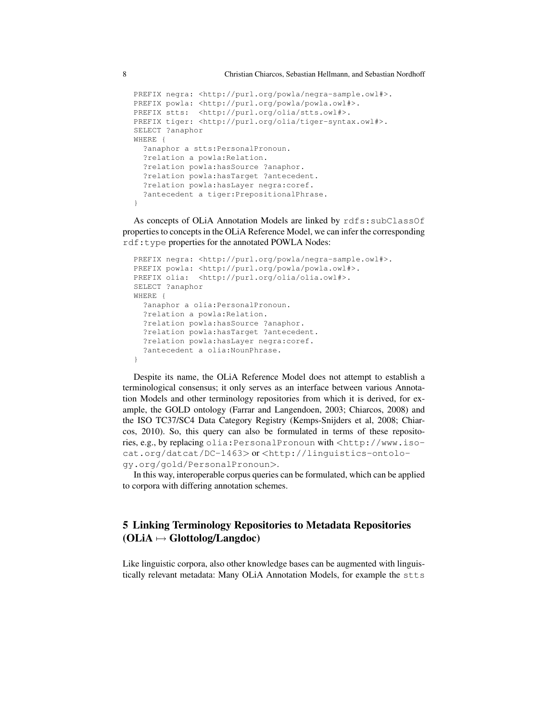```
PREFIX negra: <http://purl.org/powla/negra-sample.owl#>.
PREFIX powla: <http://purl.org/powla/powla.owl#>.
PREFIX stts: <http://purl.org/olia/stts.owl#>.
PREFIX tiger: <http://purl.org/olia/tiger-syntax.owl#>.
SELECT ?anaphor
WHERE {
  ?anaphor a stts:PersonalPronoun.
  ?relation a powla:Relation.
  ?relation powla:hasSource ?anaphor.
  ?relation powla:hasTarget ?antecedent.
  ?relation powla:hasLayer negra:coref.
  ?antecedent a tiger:PrepositionalPhrase.
}
```
As concepts of OLiA Annotation Models are linked by rdfs:subClassOf properties to concepts in the OLiA Reference Model, we can infer the corresponding rdf:type properties for the annotated POWLA Nodes:

```
PREFIX negra: <http://purl.org/powla/negra-sample.owl#>.
PREFIX powla: <http://purl.org/powla/powla.owl#>.
PREFIX olia: <http://purl.org/olia/olia.owl#>.
SELECT ?anaphor
WHERE {
 ?anaphor a olia:PersonalPronoun.
  ?relation a powla:Relation.
  ?relation powla:hasSource ?anaphor.
  ?relation powla:hasTarget ?antecedent.
  ?relation powla:hasLayer negra:coref.
  ?antecedent a olia:NounPhrase.
}
```
Despite its name, the OLiA Reference Model does not attempt to establish a terminological consensus; it only serves as an interface between various Annotation Models and other terminology repositories from which it is derived, for example, the GOLD ontology (Farrar and Langendoen, 2003; Chiarcos, 2008) and the ISO TC37/SC4 Data Category Registry (Kemps-Snijders et al, 2008; Chiarcos, 2010). So, this query can also be formulated in terms of these repositories, e.g., by replacing olia:PersonalPronoun with <http://www.isocat.org/datcat/DC-1463> or <http://linguistics-ontology.org/gold/PersonalPronoun>.

In this way, interoperable corpus queries can be formulated, which can be applied to corpora with differing annotation schemes.

# 5 Linking Terminology Repositories to Metadata Repositories  $(OLiA \mapsto Glottolog/Langdoc)$

Like linguistic corpora, also other knowledge bases can be augmented with linguistically relevant metadata: Many OLiA Annotation Models, for example the stts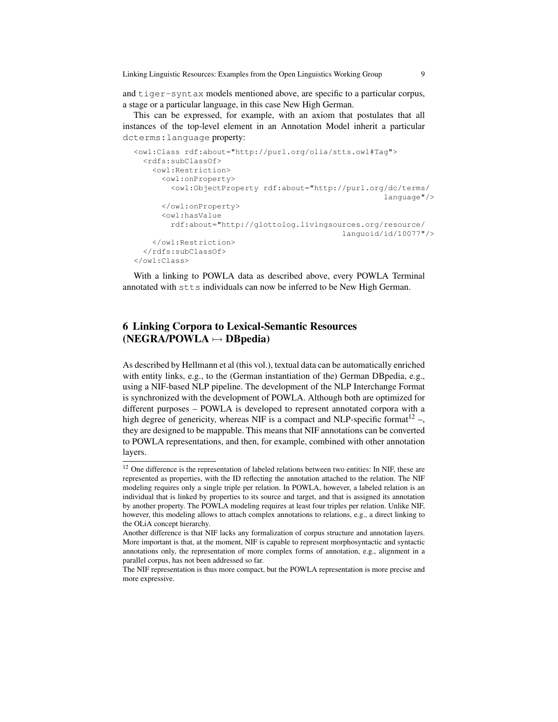and tiger-syntax models mentioned above, are specific to a particular corpus, a stage or a particular language, in this case New High German.

This can be expressed, for example, with an axiom that postulates that all instances of the top-level element in an Annotation Model inherit a particular dcterms:language property:

```
<owl:Class rdf:about="http://purl.org/olia/stts.owl#Tag">
 <rdfs:subClassOf>
    <owl:Restriction>
      <owl:onProperty>
        <owl:ObjectProperty rdf:about="http://purl.org/dc/terms/
                                                       language"/>
      </owl:onProperty>
      <owl:hasValue
       rdf:about="http://glottolog.livingsources.org/resource/
                                             languoid/id/10077"/>
    </owl:Restriction>
 </rdfs:subClassOf>
</owl:Class>
```
With a linking to POWLA data as described above, every POWLA Terminal annotated with stts individuals can now be inferred to be New High German.

# 6 Linking Corpora to Lexical-Semantic Resources  $(NEGRA/POWLA \rightarrow DBpedia)$

As described by Hellmann et al (this vol.), textual data can be automatically enriched with entity links, e.g., to the (German instantiation of the) German DBpedia, e.g., using a NIF-based NLP pipeline. The development of the NLP Interchange Format is synchronized with the development of POWLA. Although both are optimized for different purposes – POWLA is developed to represent annotated corpora with a high degree of genericity, whereas NIF is a compact and NLP-specific format<sup>12</sup> –, they are designed to be mappable. This means that NIF annotations can be converted to POWLA representations, and then, for example, combined with other annotation layers.

<sup>&</sup>lt;sup>12</sup> One difference is the representation of labeled relations between two entities: In NIF, these are represented as properties, with the ID reflecting the annotation attached to the relation. The NIF modeling requires only a single triple per relation. In POWLA, however, a labeled relation is an individual that is linked by properties to its source and target, and that is assigned its annotation by another property. The POWLA modeling requires at least four triples per relation. Unlike NIF, however, this modeling allows to attach complex annotations to relations, e.g., a direct linking to the OLiA concept hierarchy.

Another difference is that NIF lacks any formalization of corpus structure and annotation layers. More important is that, at the moment, NIF is capable to represent morphosyntactic and syntactic annotations only, the representation of more complex forms of annotation, e.g., alignment in a parallel corpus, has not been addressed so far.

The NIF representation is thus more compact, but the POWLA representation is more precise and more expressive.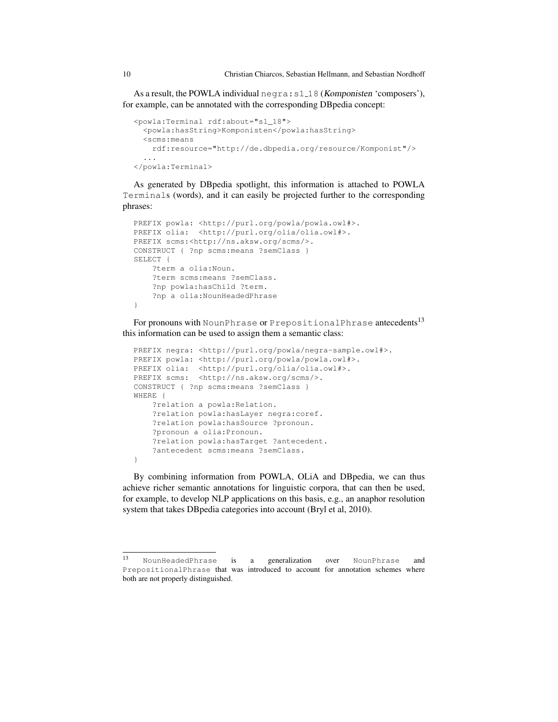As a result, the POWLA individual negra:  $s1.18$  (Komponisten 'composers'), for example, can be annotated with the corresponding DBpedia concept:

```
<powla:Terminal rdf:about="s1_18">
 <powla:hasString>Komponisten</powla:hasString>
 <scms:means
   rdf:resource="http://de.dbpedia.org/resource/Komponist"/>
  ...
</powla:Terminal>
```
As generated by DBpedia spotlight, this information is attached to POWLA Terminals (words), and it can easily be projected further to the corresponding phrases:

```
PREFIX powla: <http://purl.org/powla/powla.owl#>.
PREFIX olia: <http://purl.org/olia/olia.owl#>.
PREFIX scms:<http://ns.aksw.org/scms/>.
CONSTRUCT { ?np scms:means ?semClass }
SELECT {
    ?term a olia:Noun.
    ?term scms:means ?semClass.
    ?np powla:hasChild ?term.
    ?np a olia:NounHeadedPhrase
}
```
For pronouns with NounPhrase or PrepositionalPhrase antecedents<sup>13</sup> this information can be used to assign them a semantic class:

```
PREFIX negra: <http://purl.org/powla/negra-sample.owl#>.
PREFIX powla: <http://purl.org/powla/powla.owl#>.
PREFIX olia: <http://purl.org/olia/olia.owl#>.
PREFIX scms: <http://ns.aksw.org/scms/>.
CONSTRUCT { ?np scms:means ?semClass }
WHERE {
    ?relation a powla: Relation.
    ?relation powla:hasLayer negra:coref.
    ?relation powla:hasSource ?pronoun.
    ?pronoun a olia:Pronoun.
    ?relation powla:hasTarget ?antecedent.
    ?antecedent scms:means ?semClass.
}
```
By combining information from POWLA, OLiA and DBpedia, we can thus achieve richer semantic annotations for linguistic corpora, that can then be used, for example, to develop NLP applications on this basis, e.g., an anaphor resolution system that takes DBpedia categories into account (Bryl et al, 2010).

<sup>13</sup> NounHeadedPhrase is a generalization over NounPhrase and PrepositionalPhrase that was introduced to account for annotation schemes where both are not properly distinguished.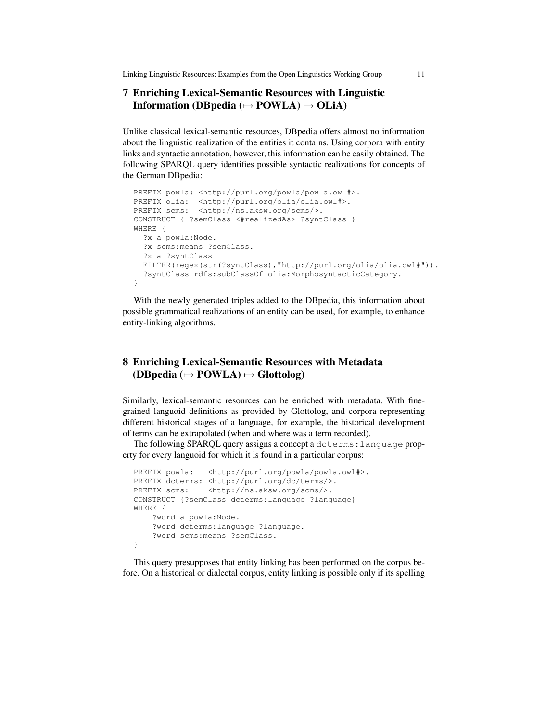Linking Linguistic Resources: Examples from the Open Linguistics Working Group 11

### 7 Enriching Lexical-Semantic Resources with Linguistic Information (DBpedia  $(\rightarrow$  POWLA)  $\rightarrow$  OLiA)

Unlike classical lexical-semantic resources, DBpedia offers almost no information about the linguistic realization of the entities it contains. Using corpora with entity links and syntactic annotation, however, this information can be easily obtained. The following SPARQL query identifies possible syntactic realizations for concepts of the German DBpedia:

```
PREFIX powla: <http://purl.org/powla/powla.owl#>.
PREFIX olia: <http://purl.org/olia/olia.owl#>.
PREFIX scms: <http://ns.aksw.org/scms/>.
CONSTRUCT { ?semClass <#realizedAs> ?syntClass }
WHERE {
  ?x a powla:Node.
  ?x scms:means ?semClass.
  ?x a ?syntClass
  FILTER(regex(str(?syntClass),"http://purl.org/olia/olia.owl#")).
  ?syntClass rdfs:subClassOf olia:MorphosyntacticCategory.
}
```
With the newly generated triples added to the DBpedia, this information about possible grammatical realizations of an entity can be used, for example, to enhance entity-linking algorithms.

# 8 Enriching Lexical-Semantic Resources with Metadata (DBpedia  $(\rightarrow$  POWLA)  $\rightarrow$  Glottolog)

Similarly, lexical-semantic resources can be enriched with metadata. With finegrained languoid definitions as provided by Glottolog, and corpora representing different historical stages of a language, for example, the historical development of terms can be extrapolated (when and where was a term recorded).

The following SPARQL query assigns a concept a dcterms:language property for every languoid for which it is found in a particular corpus:

```
PREFIX powla: <http://purl.org/powla/powla.owl#>.
PREFIX dcterms: <http://purl.org/dc/terms/>.
PREFIX scms: <http://ns.aksw.org/scms/>.
CONSTRUCT {?semClass dcterms:language ?language}
WHERE {
    ?word a powla:Node.
    ?word dcterms:language ?language.
    ?word scms:means ?semClass.
}
```
This query presupposes that entity linking has been performed on the corpus before. On a historical or dialectal corpus, entity linking is possible only if its spelling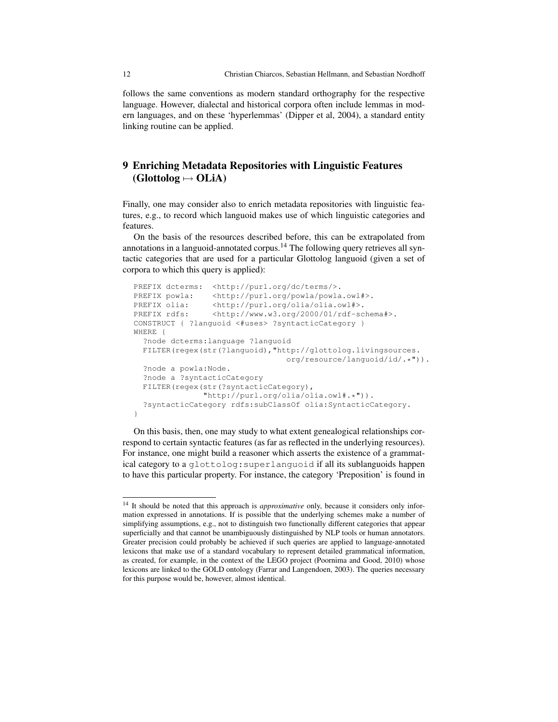follows the same conventions as modern standard orthography for the respective language. However, dialectal and historical corpora often include lemmas in modern languages, and on these 'hyperlemmas' (Dipper et al, 2004), a standard entity linking routine can be applied.

# 9 Enriching Metadata Repositories with Linguistic Features  $(Glottolog \rightarrow OLiA)$

Finally, one may consider also to enrich metadata repositories with linguistic features, e.g., to record which languoid makes use of which linguistic categories and features.

On the basis of the resources described before, this can be extrapolated from annotations in a languoid-annotated corpus.<sup>14</sup> The following query retrieves all syntactic categories that are used for a particular Glottolog languoid (given a set of corpora to which this query is applied):

```
PREFIX dcterms: <http://purl.org/dc/terms/>.
PREFIX powla: <http://purl.org/powla/powla.owl#>.
PREFIX olia: <http://purl.org/olia/olia.owl#>.
PREFIX rdfs: <http://www.w3.org/2000/01/rdf-schema#>.
CONSTRUCT { ?languoid <#uses> ?syntacticCategory }
WHERE {
  ?node dcterms:language ?languoid
 FILTER(regex(str(?languoid),"http://glottolog.livingsources.
                                org/resource/languoid/id/.*")).
  ?node a powla:Node.
  ?node a ?syntacticCategory
 FILTER(regex(str(?syntacticCategory),
              "http://purl.org/olia/olia.owl#.*")).
  ?syntacticCategory rdfs:subClassOf olia:SyntacticCategory.
}
```
On this basis, then, one may study to what extent genealogical relationships correspond to certain syntactic features (as far as reflected in the underlying resources). For instance, one might build a reasoner which asserts the existence of a grammatical category to a glottolog:superlanguoid if all its sublanguoids happen to have this particular property. For instance, the category 'Preposition' is found in

<sup>&</sup>lt;sup>14</sup> It should be noted that this approach is *approximative* only, because it considers only information expressed in annotations. If is possible that the underlying schemes make a number of simplifying assumptions, e.g., not to distinguish two functionally different categories that appear superficially and that cannot be unambiguously distinguished by NLP tools or human annotators. Greater precision could probably be achieved if such queries are applied to language-annotated lexicons that make use of a standard vocabulary to represent detailed grammatical information, as created, for example, in the context of the LEGO project (Poornima and Good, 2010) whose lexicons are linked to the GOLD ontology (Farrar and Langendoen, 2003). The queries necessary for this purpose would be, however, almost identical.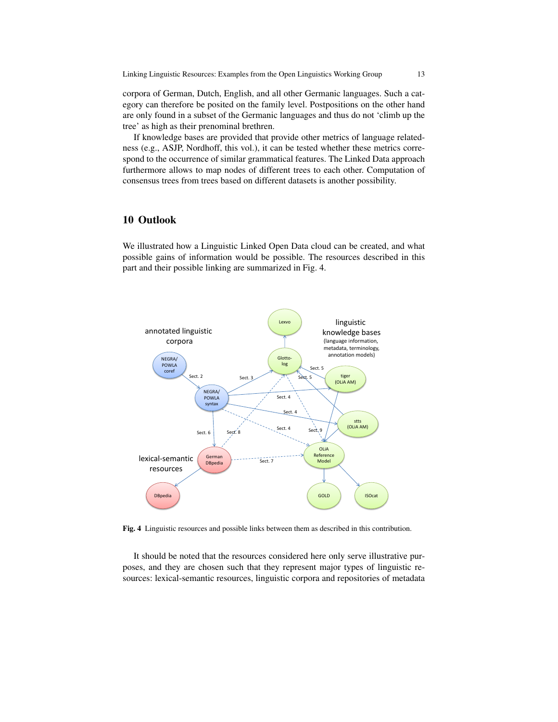corpora of German, Dutch, English, and all other Germanic languages. Such a category can therefore be posited on the family level. Postpositions on the other hand are only found in a subset of the Germanic languages and thus do not 'climb up the tree' as high as their prenominal brethren.

If knowledge bases are provided that provide other metrics of language relatedness (e.g., ASJP, Nordhoff, this vol.), it can be tested whether these metrics correspond to the occurrence of similar grammatical features. The Linked Data approach furthermore allows to map nodes of different trees to each other. Computation of consensus trees from trees based on different datasets is another possibility.

#### 10 Outlook

We illustrated how a Linguistic Linked Open Data cloud can be created, and what possible gains of information would be possible. The resources described in this part and their possible linking are summarized in Fig. 4.



Fig. 4 Linguistic resources and possible links between them as described in this contribution.

It should be noted that the resources considered here only serve illustrative purposes, and they are chosen such that they represent major types of linguistic resources: lexical-semantic resources, linguistic corpora and repositories of metadata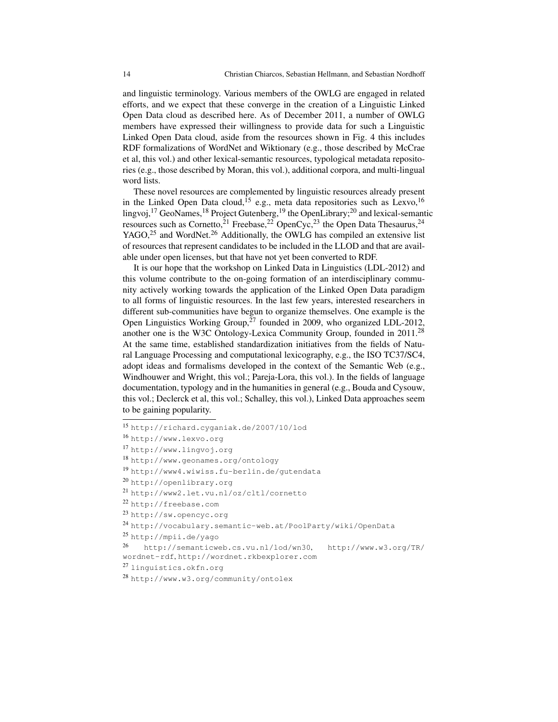and linguistic terminology. Various members of the OWLG are engaged in related efforts, and we expect that these converge in the creation of a Linguistic Linked Open Data cloud as described here. As of December 2011, a number of OWLG members have expressed their willingness to provide data for such a Linguistic Linked Open Data cloud, aside from the resources shown in Fig. 4 this includes RDF formalizations of WordNet and Wiktionary (e.g., those described by McCrae et al, this vol.) and other lexical-semantic resources, typological metadata repositories (e.g., those described by Moran, this vol.), additional corpora, and multi-lingual word lists.

These novel resources are complemented by linguistic resources already present in the Linked Open Data cloud,<sup>15</sup> e.g., meta data repositories such as Lexvo,<sup>16</sup> lingvoj,<sup>17</sup> GeoNames,<sup>18</sup> Project Gutenberg,<sup>19</sup> the OpenLibrary;<sup>20</sup> and lexical-semantic resources such as Cornetto,<sup>21</sup> Freebase,<sup>22</sup> OpenCyc,<sup>23</sup> the Open Data Thesaurus,<sup>24</sup> YAGO, $^{25}$  and WordNet.<sup>26</sup> Additionally, the OWLG has compiled an extensive list of resources that represent candidates to be included in the LLOD and that are available under open licenses, but that have not yet been converted to RDF.

It is our hope that the workshop on Linked Data in Linguistics (LDL-2012) and this volume contribute to the on-going formation of an interdisciplinary community actively working towards the application of the Linked Open Data paradigm to all forms of linguistic resources. In the last few years, interested researchers in different sub-communities have begun to organize themselves. One example is the Open Linguistics Working Group, $^{27}$  founded in 2009, who organized LDL-2012, another one is the W3C Ontology-Lexica Community Group, founded in 2011.<sup>28</sup> At the same time, established standardization initiatives from the fields of Natural Language Processing and computational lexicography, e.g., the ISO TC37/SC4, adopt ideas and formalisms developed in the context of the Semantic Web (e.g., Windhouwer and Wright, this vol.; Pareja-Lora, this vol.). In the fields of language documentation, typology and in the humanities in general (e.g., Bouda and Cysouw, this vol.; Declerck et al, this vol.; Schalley, this vol.), Linked Data approaches seem to be gaining popularity.

<sup>25</sup> http://mpii.de/yago

```
26 http://semanticweb.cs.vu.nl/lod/wn30, http://www.w3.org/TR/
wordnet-rdf, http://wordnet.rkbexplorer.com
```
<sup>15</sup> http://richard.cyganiak.de/2007/10/lod

<sup>16</sup> http://www.lexvo.org

<sup>17</sup> http://www.lingvoj.org

<sup>18</sup> http://www.geonames.org/ontology

<sup>19</sup> http://www4.wiwiss.fu-berlin.de/gutendata

<sup>20</sup> http://openlibrary.org

<sup>21</sup> http://www2.let.vu.nl/oz/cltl/cornetto

<sup>22</sup> http://freebase.com

<sup>23</sup> http://sw.opencyc.org

<sup>24</sup> http://vocabulary.semantic-web.at/PoolParty/wiki/OpenData

<sup>27</sup> linguistics.okfn.org

<sup>28</sup> http://www.w3.org/community/ontolex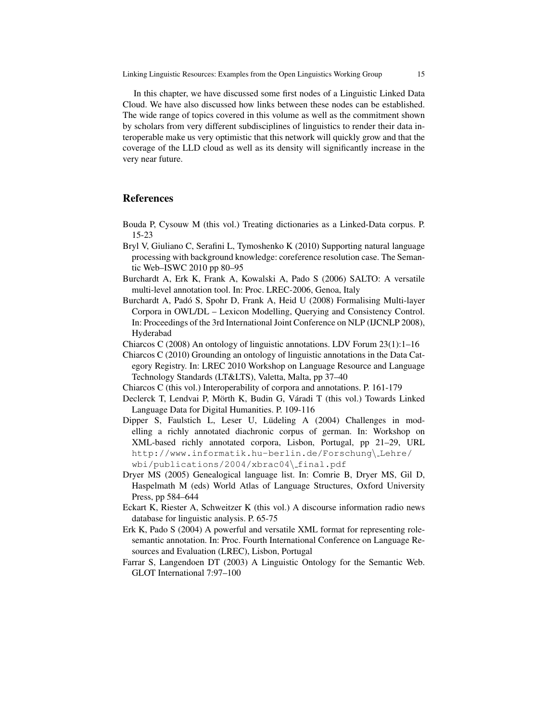In this chapter, we have discussed some first nodes of a Linguistic Linked Data Cloud. We have also discussed how links between these nodes can be established. The wide range of topics covered in this volume as well as the commitment shown by scholars from very different subdisciplines of linguistics to render their data interoperable make us very optimistic that this network will quickly grow and that the coverage of the LLD cloud as well as its density will significantly increase in the very near future.

#### **References**

- Bouda P, Cysouw M (this vol.) Treating dictionaries as a Linked-Data corpus. P. 15-23
- Bryl V, Giuliano C, Serafini L, Tymoshenko K (2010) Supporting natural language processing with background knowledge: coreference resolution case. The Semantic Web–ISWC 2010 pp 80–95
- Burchardt A, Erk K, Frank A, Kowalski A, Pado S (2006) SALTO: A versatile multi-level annotation tool. In: Proc. LREC-2006, Genoa, Italy
- Burchardt A, Pado S, Spohr D, Frank A, Heid U (2008) Formalising Multi-layer ´ Corpora in OWL/DL – Lexicon Modelling, Querying and Consistency Control. In: Proceedings of the 3rd International Joint Conference on NLP (IJCNLP 2008), Hyderabad
- Chiarcos C (2008) An ontology of linguistic annotations. LDV Forum 23(1):1–16
- Chiarcos C (2010) Grounding an ontology of linguistic annotations in the Data Category Registry. In: LREC 2010 Workshop on Language Resource and Language Technology Standards (LT&LTS), Valetta, Malta, pp 37–40
- Chiarcos C (this vol.) Interoperability of corpora and annotations. P. 161-179
- Declerck T, Lendvai P, Mörth K, Budin G, Váradi T (this vol.) Towards Linked Language Data for Digital Humanities. P. 109-116
- Dipper S, Faulstich L, Leser U, Lüdeling A (2004) Challenges in modelling a richly annotated diachronic corpus of german. In: Workshop on XML-based richly annotated corpora, Lisbon, Portugal, pp 21–29, URL http://www.informatik.hu-berlin.de/Forschung\ Lehre/ wbi/publications/2004/xbrac04\\_final.pdf
- Dryer MS (2005) Genealogical language list. In: Comrie B, Dryer MS, Gil D, Haspelmath M (eds) World Atlas of Language Structures, Oxford University Press, pp 584–644
- Eckart K, Riester A, Schweitzer K (this vol.) A discourse information radio news database for linguistic analysis. P. 65-75
- Erk K, Pado S (2004) A powerful and versatile XML format for representing rolesemantic annotation. In: Proc. Fourth International Conference on Language Resources and Evaluation (LREC), Lisbon, Portugal
- Farrar S, Langendoen DT (2003) A Linguistic Ontology for the Semantic Web. GLOT International 7:97–100